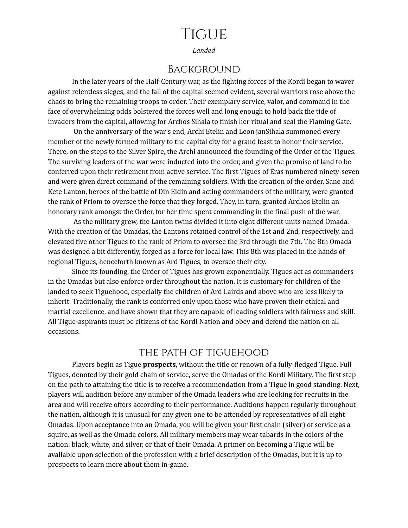# **TIGUE**

*Landed*

#### Background

In the later years of the Half-Century war, as the fighting forces of the Kordi began to waver against relentless sieges, and the fall of the capital seemed evident, several warriors rose above the chaos to bring the remaining troops to order. Their exemplary service, valor, and command in the face of overwhelming odds bolstered the forces well and long enough to hold back the tide of invaders from the capital, allowing for Archos Sihala to finish her ritual and seal the Flaming Gate.

On the anniversary of the war's end, Archi Etelin and Leon janSihala summoned every member of the newly formed military to the capital city for a grand feast to honor their service. There, on the steps to the Silver Spire, the Archi announced the founding of the Order of the Tigues. The surviving leaders of the war were inducted into the order, and given the promise of land to be conferred upon their retirement from active service. The first Tigues of Éras numbered ninety-seven and were given direct command of the remaining soldiers. With the creation of the order, Sane and Kete Lanton, heroes of the battle of Din Eidin and acting commanders of the military, were granted the rank of Priom to oversee the force that they forged. They, in turn, granted Archos Etelin an honorary rank amongst the Order, for her time spent commanding in the final push of the war.

As the military grew, the Lanton twins divided it into eight different units named Omada. With the creation of the Omadas, the Lantons retained control of the 1st and 2nd, respectively, and elevated five other Tigues to the rank of Priom to oversee the 3rd through the 7th. The 8th Omada was designed a bit differently, forged as a force for local law. This 8th was placed in the hands of regional Tigues, henceforth known as Ard Tigues, to oversee their city.

Since its founding, the Order of Tigues has grown exponentially. Tigues act as commanders in the Omadas but also enforce order throughout the nation. It is customary for children of the landed to seek Tiguehood, especially the children of Ard Lairds and above who are less likely to inherit. Traditionally, the rank is conferred only upon those who have proven their ethical and martial excellence, and have shown that they are capable of leading soldiers with fairness and skill. All Tigue-aspirants must be citizens of the Kordi Nation and obey and defend the nation on all occasions.

#### the path of tiguehood

Players begin as Tigue **prospects**, without the title or renown of a fully-fledged Tigue. Full Tigues, denoted by their gold chain of service, serve the Omadas of the Kordi Military. The first step on the path to attaining the title is to receive a recommendation from a Tigue in good standing. Next, players will audition before any number of the Omada leaders who are looking for recruits in the area and will receive offers according to their performance. Auditions happen regularly throughout the nation, although it is unusual for any given one to be attended by representatives of all eight Omadas. Upon acceptance into an Omada, you will be given your first chain (silver) of service as a squire, as well as the Omada colors. All military members may wear tabards in the colors of the nation: black, white, and silver, or that of their Omada. A primer on becoming a Tigue will be available upon selection of the profession with a brief description of the Omadas, but it is up to prospects to learn more about them in-game.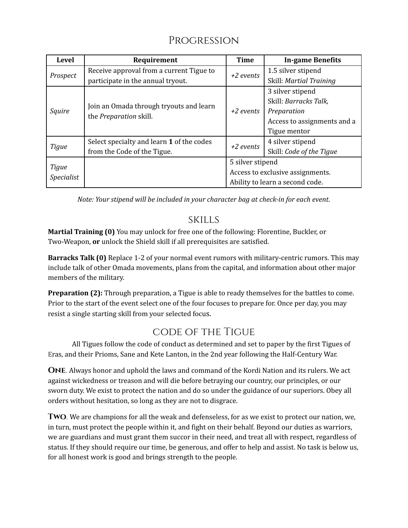# Progression

| <b>Level</b>               | Requirement                                                              | <b>Time</b>                                          | <b>In-game Benefits</b>         |
|----------------------------|--------------------------------------------------------------------------|------------------------------------------------------|---------------------------------|
| Prospect                   | Receive approval from a current Tigue to                                 | +2 events                                            | 1.5 silver stipend              |
|                            | participate in the annual tryout.                                        |                                                      | Skill: Martial Training         |
| Squire                     | Join an Omada through tryouts and learn<br>the <i>Preparation</i> skill. | $+2$ events                                          | 3 silver stipend                |
|                            |                                                                          |                                                      | Skill: Barracks Talk,           |
|                            |                                                                          |                                                      | Preparation                     |
|                            |                                                                          |                                                      | Access to assignments and a     |
|                            |                                                                          |                                                      | Tigue mentor                    |
| Tigue                      | Select specialty and learn 1 of the codes                                | $+2$ events                                          | 4 silver stipend                |
|                            | from the Code of the Tigue.                                              |                                                      | Skill: Code of the Tigue        |
| Tigue<br><b>Specialist</b> |                                                                          | 5 silver stipend<br>Access to exclusive assignments. |                                 |
|                            |                                                                          |                                                      |                                 |
|                            |                                                                          |                                                      | Ability to learn a second code. |

*Note: Your stipend will be included in your character bag at check-in for each event.*

#### skills

**Martial Training (0)** You may unlock for free one of the following: Florentine, Buckler, or Two-Weapon, **or** unlock the Shield skill if all prerequisites are satisfied.

**Barracks Talk (0)** Replace 1-2 of your normal event rumors with military-centric rumors. This may include talk of other Omada movements, plans from the capital, and information about other major members of the military.

**Preparation (2):** Through preparation, a Tigue is able to ready themselves for the battles to come. Prior to the start of the event select one of the four focuses to prepare for. Once per day, you may resist a single starting skill from your selected focus.

## code of the Tigue

All Tigues follow the code of conduct as determined and set to paper by the first Tigues of Eras, and their Prioms, Sane and Kete Lanton, in the 2nd year following the Half-Century War.

**One**. Always honor and uphold the laws and command of the Kordi Nation and its rulers. We act against wickedness or treason and will die before betraying our country, our principles, or our sworn duty. We exist to protect the nation and do so under the guidance of our superiors. Obey all orders without hesitation, so long as they are not to disgrace.

**Two**. We are champions for all the weak and defenseless, for as we exist to protect our nation, we, in turn, must protect the people within it, and fight on their behalf. Beyond our duties as warriors, we are guardians and must grant them succor in their need, and treat all with respect, regardless of status. If they should require our time, be generous, and offer to help and assist. No task is below us, for all honest work is good and brings strength to the people.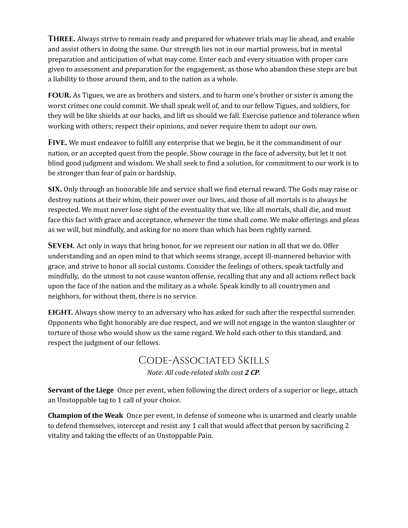**Three.** Always strive to remain ready and prepared for whatever trials may lie ahead, and enable and assist others in doing the same. Our strength lies not in our martial prowess, but in mental preparation and anticipation of what may come. Enter each and every situation with proper care given to assessment and preparation for the engagement, as those who abandon these steps are but a liability to those around them, and to the nation as a whole.

**four.** As Tigues, we are as brothers and sisters, and to harm one's brother or sister is among the worst crimes one could commit. We shall speak well of, and to our fellow Tigues, and soldiers, for they will be like shields at our backs, and lift us should we fall. Exercise patience and tolerance when working with others; respect their opinions, and never require them to adopt our own.

**Five.** We must endeavor to fulfill any enterprise that we begin, be it the commandment of our nation, or an accepted quest from the people. Show courage in the face of adversity, but let it not blind good judgment and wisdom. We shall seek to find a solution, for commitment to our work is to be stronger than fear of pain or hardship.

**six.** Only through an honorable life and service shall we find eternal reward. The Gods may raise or destroy nations at their whim, their power over our lives, and those of all mortals is to always be respected. We must never lose sight of the eventuality that we, like all mortals, shall die, and must face this fact with grace and acceptance, whenever the time shall come. We make offerings and pleas as we will, but mindfully, and asking for no more than which has been rightly earned.

**Seven.** Act only in ways that bring honor, for we represent our nation in all that we do. Offer understanding and an open mind to that which seems strange, accept ill-mannered behavior with grace, and strive to honor all social customs. Consider the feelings of others, speak tactfully and mindfully, do the utmost to not cause wanton offense, recalling that any and all actions reflect back upon the face of the nation and the military as a whole. Speak kindly to all countrymen and neighbors, for without them, there is no service.

**eight.** Always show mercy to an adversary who has asked for such after the respectful surrender. Opponents who fight honorably are due respect, and we will not engage in the wanton slaughter or torture of those who would show us the same regard. We hold each other to this standard, and respect the judgment of our fellows.

## Code-Associated Skills *Note: All code-related skills cost 2 CP.*

**Servant of the Liege** Once per event, when following the direct orders of a superior or liege, attach an Unstoppable tag to 1 call of your choice.

**Champion of the Weak** Once per event, in defense of someone who is unarmed and clearly unable to defend themselves, intercept and resist any 1 call that would affect that person by sacrificing 2 vitality and taking the effects of an Unstoppable Pain.